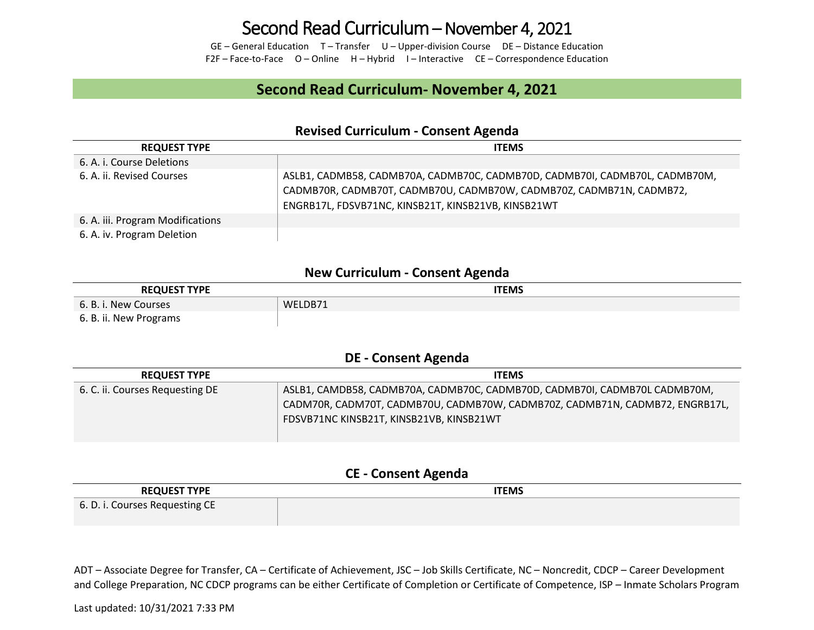## Second Read Curriculum – November 4, 2021

GE – General Education T – Transfer U – Upper-division Course DE – Distance Education F2F – Face-to-Face O – Online H – Hybrid I – Interactive CE – Correspondence Education

## **Second Read Curriculum- November 4, 2021**

#### **Revised Curriculum - Consent Agenda**

| <b>REQUEST TYPE</b>              | <b>ITEMS</b>                                                                                                                                                                                               |
|----------------------------------|------------------------------------------------------------------------------------------------------------------------------------------------------------------------------------------------------------|
| 6. A. i. Course Deletions        |                                                                                                                                                                                                            |
| 6. A. ii. Revised Courses        | ASLB1, CADMB58, CADMB70A, CADMB70C, CADMB70D, CADMB70I, CADMB70L, CADMB70M,<br>CADMB70R, CADMB70T, CADMB70U, CADMB70W, CADMB70Z, CADMB71N, CADMB72,<br>ENGRB17L, FDSVB71NC, KINSB21T, KINSB21VB, KINSB21WT |
| 6. A. iii. Program Modifications |                                                                                                                                                                                                            |
| 6. A. iv. Program Deletion       |                                                                                                                                                                                                            |

### **New Curriculum - Consent Agenda**

| <b>REQUEST TYPE</b>    | ITEMS   |
|------------------------|---------|
| 6. B. i. New Courses   | WELDB71 |
| 6. B. ii. New Programs |         |

#### **DE - Consent Agenda**

| <b>REQUEST TYPE</b>             | <b>ITEMS</b>                                                                 |
|---------------------------------|------------------------------------------------------------------------------|
| 6. C. ii. Courses Requesting DE | ASLB1, CAMDB58, CADMB70A, CADMB70C, CADMB70D, CADMB70I, CADMB70L CADMB70M,   |
|                                 | CADM70R, CADM70T, CADMB70U, CADMB70W, CADMB70Z, CADMB71N, CADMB72, ENGRB17L, |
|                                 | FDSVB71NC KINSB21T, KINSB21VB, KINSB21WT                                     |
|                                 |                                                                              |

#### **CE - Consent Agenda**

| <b>REQUEST TYPE</b>            | <b>ITEMS</b> |
|--------------------------------|--------------|
| 6. D. i. Courses Requesting CE |              |

ADT – Associate Degree for Transfer, CA – Certificate of Achievement, JSC – Job Skills Certificate, NC – Noncredit, CDCP – Career Development and College Preparation, NC CDCP programs can be either Certificate of Completion or Certificate of Competence, ISP – Inmate Scholars Program

Last updated: 10/31/2021 7:33 PM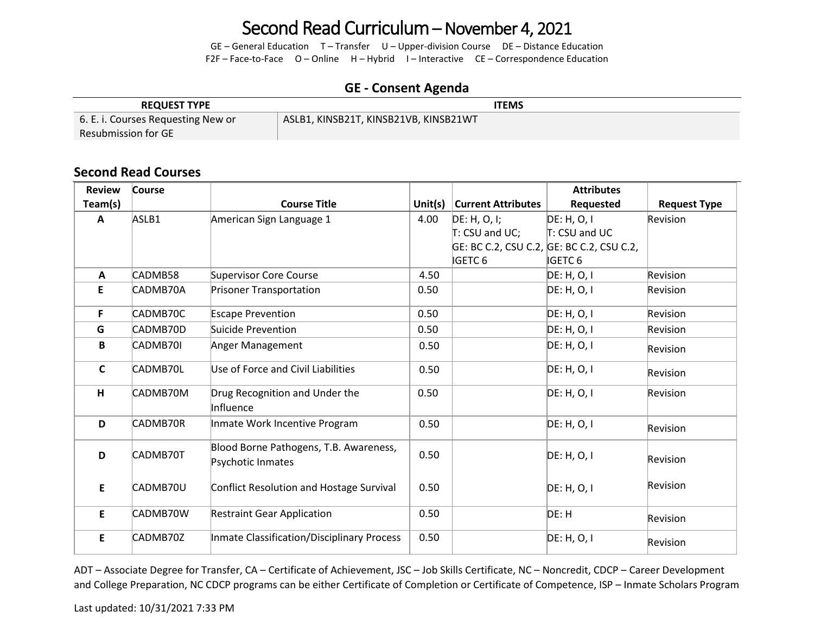# Second Read Curriculum – November 4, 2021

GE – General Education T – Transfer U – Upper-division Course DE – Distance Education F2F – Face-to-Face O – Online H – Hybrid I – Interactive CE – Correspondence Education

## **GE - Consent Agenda**

| <b>REQUEST TYPE</b>                | ITEMS                                 |
|------------------------------------|---------------------------------------|
| 6. E. i. Courses Requesting New or | ASLB1, KINSB21T, KINSB21VB, KINSB21WT |
| Resubmission for $\mathsf{GE}^+$   |                                       |

## **Second Read Courses**

| <b>Review</b> | Course   |                                                             |         |                           | <b>Attributes</b>                         |                     |
|---------------|----------|-------------------------------------------------------------|---------|---------------------------|-------------------------------------------|---------------------|
| Team(s)       |          | <b>Course Title</b>                                         | Unit(s) | <b>Current Attributes</b> | Requested                                 | <b>Request Type</b> |
| A             | ASLB1    | American Sign Language 1                                    | 4.00    | DE: H, O, I;              | DE: H, O, I                               | Revision            |
|               |          |                                                             |         | T: CSU and UC;            | T: CSU and UC                             |                     |
|               |          |                                                             |         |                           | GE: BC C.2, CSU C.2, GE: BC C.2, CSU C.2, |                     |
|               |          |                                                             |         | <b>IGETC 6</b>            | <b>IGETC 6</b>                            |                     |
| A             | CADMB58  | Supervisor Core Course                                      | 4.50    |                           | DE: H, O, I                               | Revision            |
| E             | CADMB70A | <b>Prisoner Transportation</b>                              | 0.50    |                           | DE: H, O, I                               | Revision            |
| F.            | CADMB70C | <b>Escape Prevention</b>                                    | 0.50    |                           | DE: H, O, I                               | Revision            |
| G             | CADMB70D | Suicide Prevention                                          | 0.50    |                           | DE: H, O, I                               | Revision            |
| B             | CADMB70I | Anger Management                                            | 0.50    |                           | DE: H, O, I                               | Revision            |
| $\mathsf{C}$  | CADMB70L | Use of Force and Civil Liabilities                          | 0.50    |                           | DE: H, O, I                               | Revision            |
| H             | CADMB70M | Drug Recognition and Under the<br>Influence                 | 0.50    |                           | DE: H, O, I                               | Revision            |
| D             | CADMB70R | Inmate Work Incentive Program                               | 0.50    |                           | DE: H, O, I                               | Revision            |
| D             | CADMB70T | Blood Borne Pathogens, T.B. Awareness,<br>Psychotic Inmates | 0.50    |                           | DE: H, O, I                               | Revision            |
| E             | CADMB70U | Conflict Resolution and Hostage Survival                    | 0.50    |                           | DE: H, O, I                               | Revision            |
| E             | CADMB70W | <b>Restraint Gear Application</b>                           | 0.50    |                           | DE: H                                     | Revision            |
| E             | CADMB70Z | Inmate Classification/Disciplinary Process                  | 0.50    |                           | DE: H, O, I                               | Revision            |

ADT – Associate Degree for Transfer, CA – Certificate of Achievement, JSC – Job Skills Certificate, NC – Noncredit, CDCP – Career Development and College Preparation, NC CDCP programs can be either Certificate of Completion or Certificate of Competence, ISP – Inmate Scholars Program